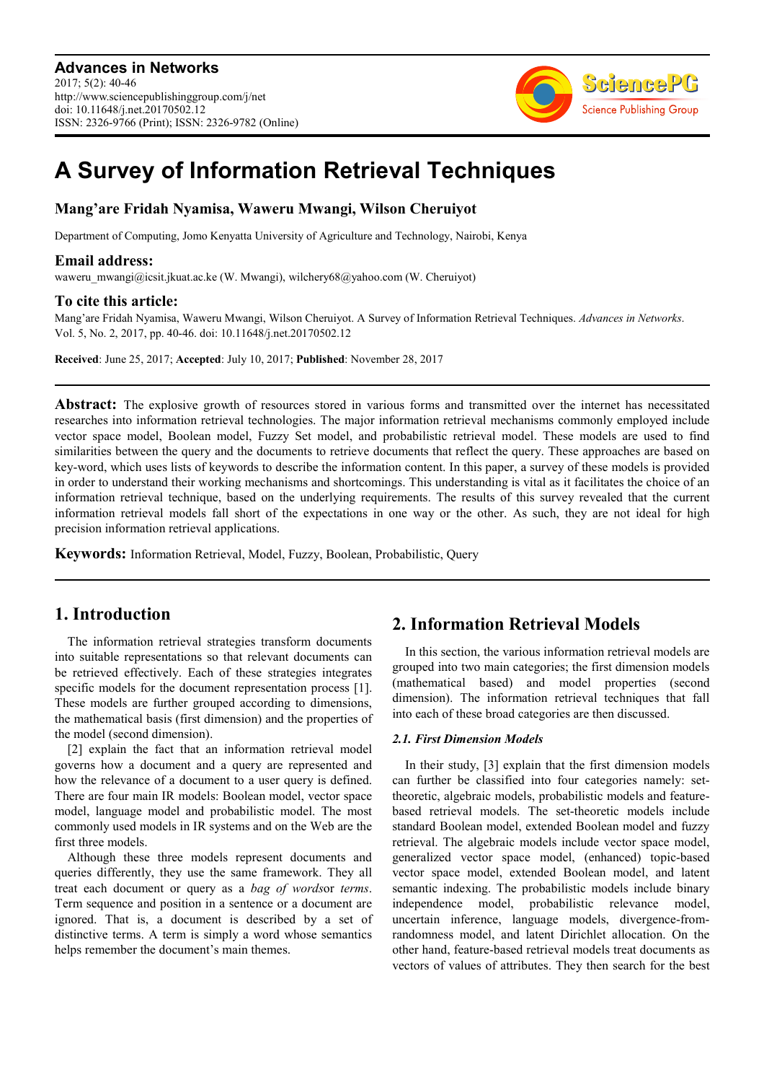

# **A Survey of Information Retrieval Techniques**

### **Mang'are Fridah Nyamisa, Waweru Mwangi, Wilson Cheruiyot**

Department of Computing, Jomo Kenyatta University of Agriculture and Technology, Nairobi, Kenya

#### **Email address:**

waweru\_mwangi@icsit.jkuat.ac.ke (W. Mwangi), wilchery68@yahoo.com (W. Cheruiyot)

#### **To cite this article:**

Mang'are Fridah Nyamisa, Waweru Mwangi, Wilson Cheruiyot. A Survey of Information Retrieval Techniques. *Advances in Networks*. Vol. 5, No. 2, 2017, pp. 40-46. doi: 10.11648/j.net.20170502.12

**Received**: June 25, 2017; **Accepted**: July 10, 2017; **Published**: November 28, 2017

**Abstract:** The explosive growth of resources stored in various forms and transmitted over the internet has necessitated researches into information retrieval technologies. The major information retrieval mechanisms commonly employed include vector space model, Boolean model, Fuzzy Set model, and probabilistic retrieval model. These models are used to find similarities between the query and the documents to retrieve documents that reflect the query. These approaches are based on key-word, which uses lists of keywords to describe the information content. In this paper, a survey of these models is provided in order to understand their working mechanisms and shortcomings. This understanding is vital as it facilitates the choice of an information retrieval technique, based on the underlying requirements. The results of this survey revealed that the current information retrieval models fall short of the expectations in one way or the other. As such, they are not ideal for high precision information retrieval applications.

**Keywords:** Information Retrieval, Model, Fuzzy, Boolean, Probabilistic, Query

# **1. Introduction**

The information retrieval strategies transform documents into suitable representations so that relevant documents can be retrieved effectively. Each of these strategies integrates specific models for the document representation process [1]. These models are further grouped according to dimensions, the mathematical basis (first dimension) and the properties of the model (second dimension).

[2] explain the fact that an information retrieval model governs how a document and a query are represented and how the relevance of a document to a user query is defined. There are four main IR models: Boolean model, vector space model, language model and probabilistic model. The most commonly used models in IR systems and on the Web are the first three models.

Although these three models represent documents and queries differently, they use the same framework. They all treat each document or query as a *bag of words*or *terms*. Term sequence and position in a sentence or a document are ignored. That is, a document is described by a set of distinctive terms. A term is simply a word whose semantics helps remember the document's main themes.

# **2. Information Retrieval Models**

In this section, the various information retrieval models are grouped into two main categories; the first dimension models (mathematical based) and model properties (second dimension). The information retrieval techniques that fall into each of these broad categories are then discussed.

#### *2.1. First Dimension Models*

In their study, [3] explain that the first dimension models can further be classified into four categories namely: settheoretic, algebraic models, probabilistic models and featurebased retrieval models. The set-theoretic models include standard Boolean model, extended Boolean model and fuzzy retrieval. The algebraic models include vector space model, generalized vector space model, (enhanced) topic-based vector space model, extended Boolean model, and latent semantic indexing. The probabilistic models include binary independence model, probabilistic relevance model, uncertain inference, language models, divergence-fromrandomness model, and latent Dirichlet allocation. On the other hand, feature-based retrieval models treat documents as vectors of values of attributes. They then search for the best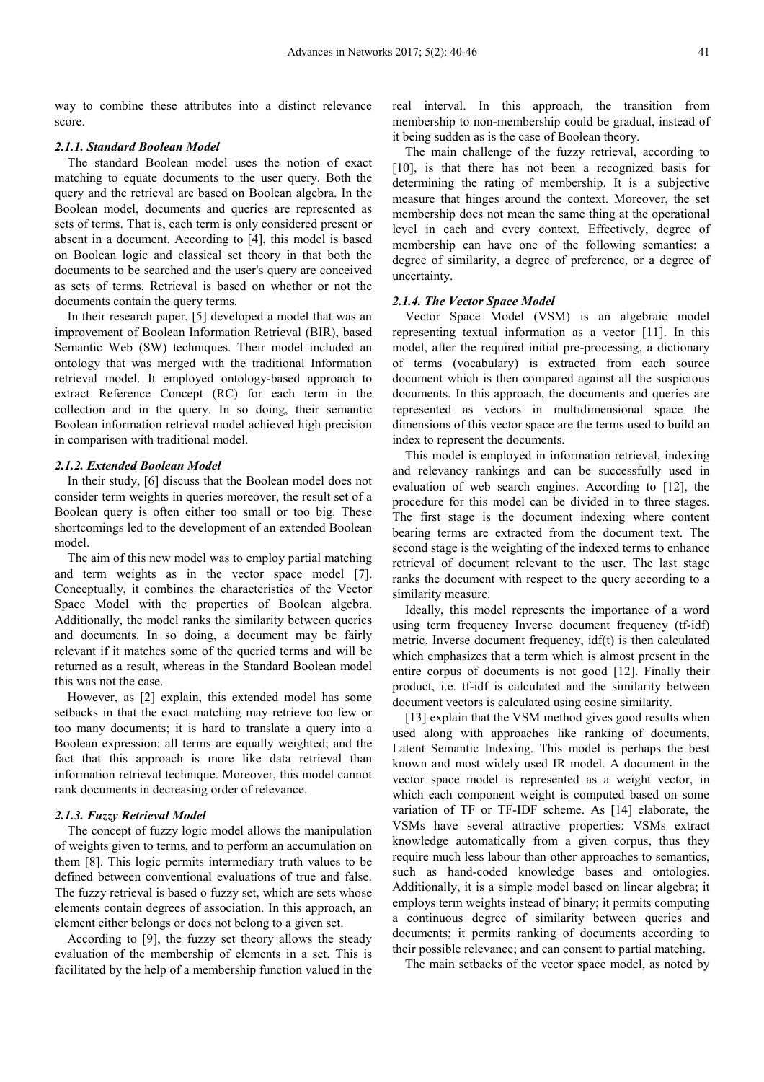way to combine these attributes into a distinct relevance score.

#### *2.1.1. Standard Boolean Model*

The standard Boolean model uses the notion of exact matching to equate documents to the user query. Both the query and the retrieval are based on Boolean algebra. In the Boolean model, documents and queries are represented as sets of terms. That is, each term is only considered present or absent in a document. According to [4], this model is based on Boolean logic and classical set theory in that both the documents to be searched and the user's query are conceived as sets of terms. Retrieval is based on whether or not the documents contain the query terms.

In their research paper, [5] developed a model that was an improvement of Boolean Information Retrieval (BIR), based Semantic Web (SW) techniques. Their model included an ontology that was merged with the traditional Information retrieval model. It employed ontology-based approach to extract Reference Concept (RC) for each term in the collection and in the query. In so doing, their semantic Boolean information retrieval model achieved high precision in comparison with traditional model.

#### *2.1.2. Extended Boolean Model*

In their study, [6] discuss that the Boolean model does not consider term weights in queries moreover, the result set of a Boolean query is often either too small or too big. These shortcomings led to the development of an extended Boolean model.

The aim of this new model was to employ partial matching and term weights as in the vector space model [7]. Conceptually, it combines the characteristics of the Vector Space Model with the properties of Boolean algebra. Additionally, the model ranks the similarity between queries and documents. In so doing, a document may be fairly relevant if it matches some of the queried terms and will be returned as a result, whereas in the Standard Boolean model this was not the case.

However, as [2] explain, this extended model has some setbacks in that the exact matching may retrieve too few or too many documents; it is hard to translate a query into a Boolean expression; all terms are equally weighted; and the fact that this approach is more like data retrieval than information retrieval technique. Moreover, this model cannot rank documents in decreasing order of relevance.

#### *2.1.3. Fuzzy Retrieval Model*

The concept of fuzzy logic model allows the manipulation of weights given to terms, and to perform an accumulation on them [8]. This logic permits intermediary truth values to be defined between conventional evaluations of true and false. The fuzzy retrieval is based o fuzzy set, which are sets whose elements contain degrees of association. In this approach, an element either belongs or does not belong to a given set.

According to [9], the fuzzy set theory allows the steady evaluation of the membership of elements in a set. This is facilitated by the help of a membership function valued in the real interval. In this approach, the transition from membership to non-membership could be gradual, instead of it being sudden as is the case of Boolean theory.

The main challenge of the fuzzy retrieval, according to [10], is that there has not been a recognized basis for determining the rating of membership. It is a subjective measure that hinges around the context. Moreover, the set membership does not mean the same thing at the operational level in each and every context. Effectively, degree of membership can have one of the following semantics: a degree of similarity, a degree of preference, or a degree of uncertainty.

#### *2.1.4. The Vector Space Model*

Vector Space Model (VSM) is an algebraic model representing textual information as a vector [11]. In this model, after the required initial pre-processing, a dictionary of terms (vocabulary) is extracted from each source document which is then compared against all the suspicious documents. In this approach, the documents and queries are represented as vectors in multidimensional space the dimensions of this vector space are the terms used to build an index to represent the documents.

This model is employed in information retrieval, indexing and relevancy rankings and can be successfully used in evaluation of web search engines. According to [12], the procedure for this model can be divided in to three stages. The first stage is the document indexing where content bearing terms are extracted from the document text. The second stage is the weighting of the indexed terms to enhance retrieval of document relevant to the user. The last stage ranks the document with respect to the query according to a similarity measure.

Ideally, this model represents the importance of a word using term frequency Inverse document frequency (tf-idf) metric. Inverse document frequency, idf(t) is then calculated which emphasizes that a term which is almost present in the entire corpus of documents is not good [12]. Finally their product, i.e. tf-idf is calculated and the similarity between document vectors is calculated using cosine similarity.

[13] explain that the VSM method gives good results when used along with approaches like ranking of documents, Latent Semantic Indexing. This model is perhaps the best known and most widely used IR model. A document in the vector space model is represented as a weight vector, in which each component weight is computed based on some variation of TF or TF-IDF scheme. As [14] elaborate, the VSMs have several attractive properties: VSMs extract knowledge automatically from a given corpus, thus they require much less labour than other approaches to semantics, such as hand-coded knowledge bases and ontologies. Additionally, it is a simple model based on linear algebra; it employs term weights instead of binary; it permits computing a continuous degree of similarity between queries and documents; it permits ranking of documents according to their possible relevance; and can consent to partial matching.

The main setbacks of the vector space model, as noted by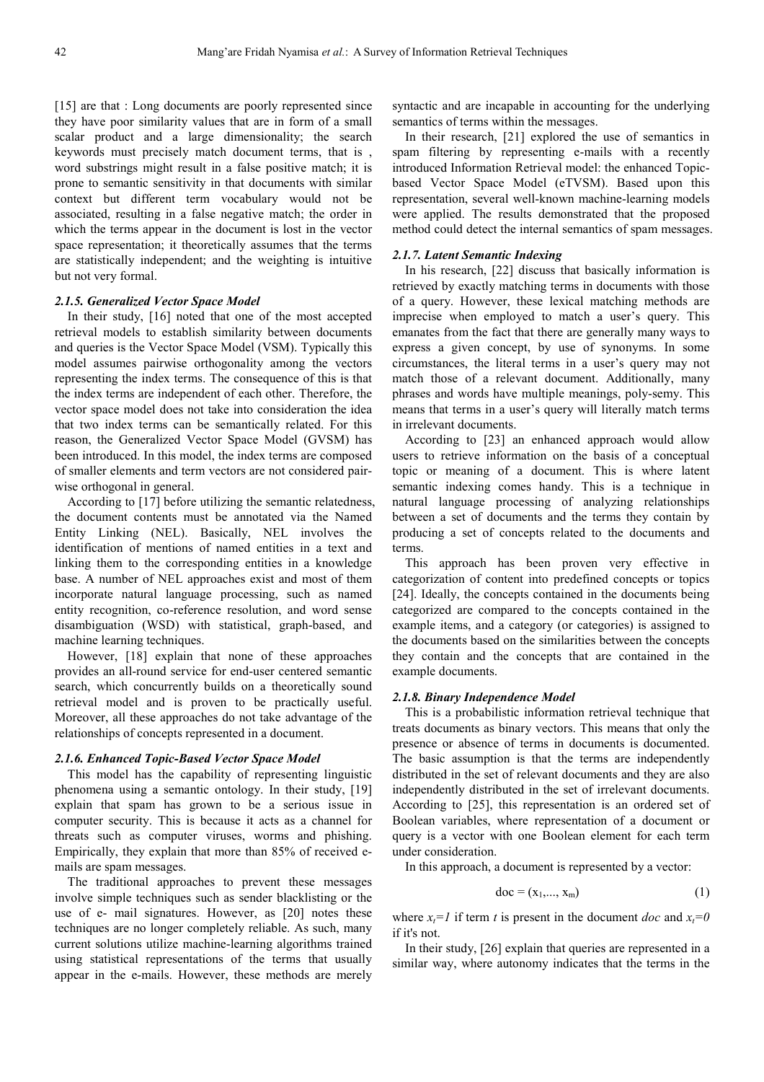[15] are that : Long documents are poorly represented since they have poor similarity values that are in form of a small scalar product and a large dimensionality; the search keywords must precisely match document terms, that is , word substrings might result in a false positive match; it is prone to semantic sensitivity in that documents with similar context but different term vocabulary would not be associated, resulting in a false negative match; the order in which the terms appear in the document is lost in the vector space representation; it theoretically assumes that the terms are statistically independent; and the weighting is intuitive but not very formal.

#### *2.1.5. Generalized Vector Space Model*

In their study, [16] noted that one of the most accepted retrieval models to establish similarity between documents and queries is the Vector Space Model (VSM). Typically this model assumes pairwise orthogonality among the vectors representing the index terms. The consequence of this is that the index terms are independent of each other. Therefore, the vector space model does not take into consideration the idea that two index terms can be semantically related. For this reason, the Generalized Vector Space Model (GVSM) has been introduced. In this model, the index terms are composed of smaller elements and term vectors are not considered pairwise orthogonal in general.

According to [17] before utilizing the semantic relatedness, the document contents must be annotated via the Named Entity Linking (NEL). Basically, NEL involves the identification of mentions of named entities in a text and linking them to the corresponding entities in a knowledge base. A number of NEL approaches exist and most of them incorporate natural language processing, such as named entity recognition, co-reference resolution, and word sense disambiguation (WSD) with statistical, graph-based, and machine learning techniques.

However, [18] explain that none of these approaches provides an all-round service for end-user centered semantic search, which concurrently builds on a theoretically sound retrieval model and is proven to be practically useful. Moreover, all these approaches do not take advantage of the relationships of concepts represented in a document.

#### *2.1.6. Enhanced Topic-Based Vector Space Model*

This model has the capability of representing linguistic phenomena using a semantic ontology. In their study, [19] explain that spam has grown to be a serious issue in computer security. This is because it acts as a channel for threats such as computer viruses, worms and phishing. Empirically, they explain that more than 85% of received emails are spam messages.

The traditional approaches to prevent these messages involve simple techniques such as sender blacklisting or the use of e- mail signatures. However, as [20] notes these techniques are no longer completely reliable. As such, many current solutions utilize machine-learning algorithms trained using statistical representations of the terms that usually appear in the e-mails. However, these methods are merely

syntactic and are incapable in accounting for the underlying semantics of terms within the messages.

In their research, [21] explored the use of semantics in spam filtering by representing e-mails with a recently introduced Information Retrieval model: the enhanced Topicbased Vector Space Model (eTVSM). Based upon this representation, several well-known machine-learning models were applied. The results demonstrated that the proposed method could detect the internal semantics of spam messages.

#### *2.1.7. Latent Semantic Indexing*

In his research, [22] discuss that basically information is retrieved by exactly matching terms in documents with those of a query. However, these lexical matching methods are imprecise when employed to match a user's query. This emanates from the fact that there are generally many ways to express a given concept, by use of synonyms. In some circumstances, the literal terms in a user's query may not match those of a relevant document. Additionally, many phrases and words have multiple meanings, poly-semy. This means that terms in a user's query will literally match terms in irrelevant documents.

According to [23] an enhanced approach would allow users to retrieve information on the basis of a conceptual topic or meaning of a document. This is where latent semantic indexing comes handy. This is a technique in natural language processing of analyzing relationships between a set of documents and the terms they contain by producing a set of concepts related to the documents and terms.

This approach has been proven very effective in categorization of content into predefined concepts or topics [24]. Ideally, the concepts contained in the documents being categorized are compared to the concepts contained in the example items, and a category (or categories) is assigned to the documents based on the similarities between the concepts they contain and the concepts that are contained in the example documents.

#### *2.1.8. Binary Independence Model*

This is a probabilistic information retrieval technique that treats documents as binary vectors. This means that only the presence or absence of terms in documents is documented. The basic assumption is that the terms are independently distributed in the set of relevant documents and they are also independently distributed in the set of irrelevant documents. According to [25], this representation is an ordered set of Boolean variables, where representation of a document or query is a vector with one Boolean element for each term under consideration.

In this approach, a document is represented by a vector:

$$
\text{doc} = (\mathbf{x}_1, \dots, \mathbf{x}_m) \tag{1}
$$

where  $x_t = I$  if term *t* is present in the document *doc* and  $x_t = 0$ if it's not.

In their study, [26] explain that queries are represented in a similar way, where autonomy indicates that the terms in the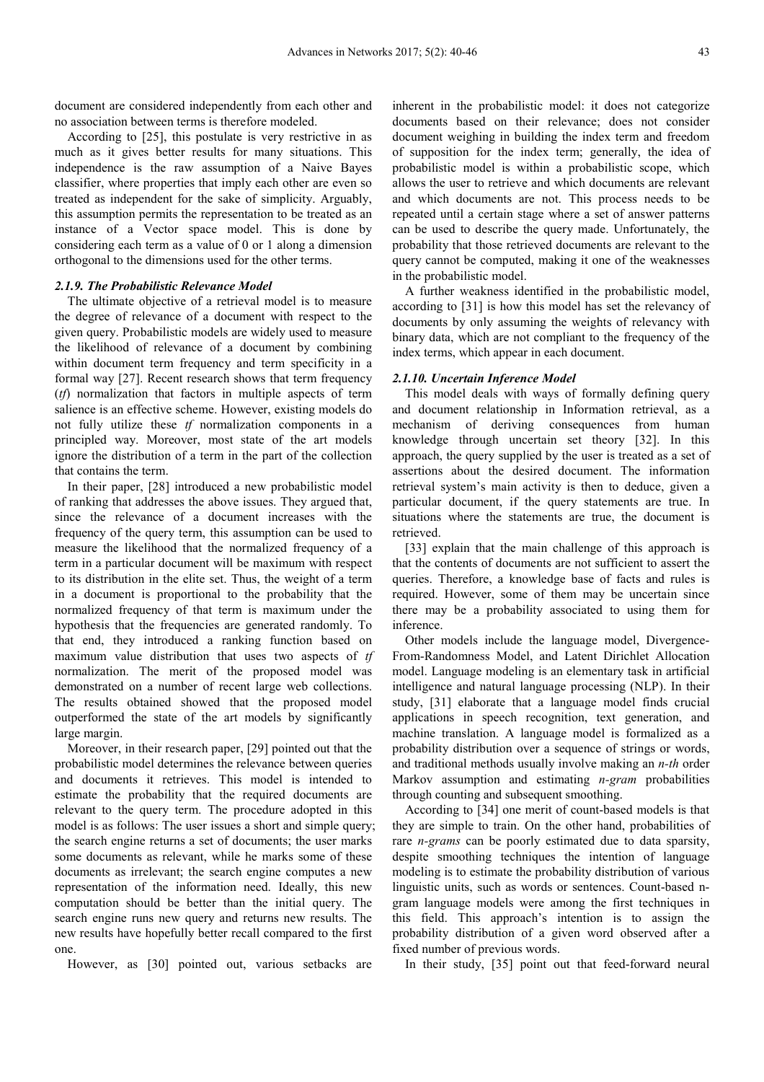document are considered independently from each other and no association between terms is therefore modeled.

According to [25], this postulate is very restrictive in as much as it gives better results for many situations. This independence is the raw assumption of a Naive Bayes classifier, where properties that imply each other are even so treated as independent for the sake of simplicity. Arguably, this assumption permits the representation to be treated as an instance of a Vector space model. This is done by considering each term as a value of 0 or 1 along a dimension orthogonal to the dimensions used for the other terms.

#### *2.1.9. The Probabilistic Relevance Model*

The ultimate objective of a retrieval model is to measure the degree of relevance of a document with respect to the given query. Probabilistic models are widely used to measure the likelihood of relevance of a document by combining within document term frequency and term specificity in a formal way [27]. Recent research shows that term frequency (*tf*) normalization that factors in multiple aspects of term salience is an effective scheme. However, existing models do not fully utilize these *tf* normalization components in a principled way. Moreover, most state of the art models ignore the distribution of a term in the part of the collection that contains the term.

In their paper, [28] introduced a new probabilistic model of ranking that addresses the above issues. They argued that, since the relevance of a document increases with the frequency of the query term, this assumption can be used to measure the likelihood that the normalized frequency of a term in a particular document will be maximum with respect to its distribution in the elite set. Thus, the weight of a term in a document is proportional to the probability that the normalized frequency of that term is maximum under the hypothesis that the frequencies are generated randomly. To that end, they introduced a ranking function based on maximum value distribution that uses two aspects of *tf* normalization. The merit of the proposed model was demonstrated on a number of recent large web collections. The results obtained showed that the proposed model outperformed the state of the art models by significantly large margin.

Moreover, in their research paper, [29] pointed out that the probabilistic model determines the relevance between queries and documents it retrieves. This model is intended to estimate the probability that the required documents are relevant to the query term. The procedure adopted in this model is as follows: The user issues a short and simple query; the search engine returns a set of documents; the user marks some documents as relevant, while he marks some of these documents as irrelevant; the search engine computes a new representation of the information need. Ideally, this new computation should be better than the initial query. The search engine runs new query and returns new results. The new results have hopefully better recall compared to the first one.

However, as [30] pointed out, various setbacks are

inherent in the probabilistic model: it does not categorize documents based on their relevance; does not consider document weighing in building the index term and freedom of supposition for the index term; generally, the idea of probabilistic model is within a probabilistic scope, which allows the user to retrieve and which documents are relevant and which documents are not. This process needs to be repeated until a certain stage where a set of answer patterns can be used to describe the query made. Unfortunately, the probability that those retrieved documents are relevant to the query cannot be computed, making it one of the weaknesses in the probabilistic model.

A further weakness identified in the probabilistic model, according to [31] is how this model has set the relevancy of documents by only assuming the weights of relevancy with binary data, which are not compliant to the frequency of the index terms, which appear in each document.

#### *2.1.10. Uncertain Inference Model*

This model deals with ways of formally defining query and document relationship in Information retrieval, as a mechanism of deriving consequences from human knowledge through uncertain set theory [32]. In this approach, the query supplied by the user is treated as a set of assertions about the desired document. The information retrieval system's main activity is then to deduce, given a particular document, if the query statements are true. In situations where the statements are true, the document is retrieved.

[33] explain that the main challenge of this approach is that the contents of documents are not sufficient to assert the queries. Therefore, a knowledge base of facts and rules is required. However, some of them may be uncertain since there may be a probability associated to using them for inference.

Other models include the language model, Divergence-From-Randomness Model, and Latent Dirichlet Allocation model. Language modeling is an elementary task in artificial intelligence and natural language processing (NLP). In their study, [31] elaborate that a language model finds crucial applications in speech recognition, text generation, and machine translation. A language model is formalized as a probability distribution over a sequence of strings or words, and traditional methods usually involve making an *n-th* order Markov assumption and estimating *n-gram* probabilities through counting and subsequent smoothing.

According to [34] one merit of count-based models is that they are simple to train. On the other hand, probabilities of rare *n-grams* can be poorly estimated due to data sparsity, despite smoothing techniques the intention of language modeling is to estimate the probability distribution of various linguistic units, such as words or sentences. Count-based ngram language models were among the first techniques in this field. This approach's intention is to assign the probability distribution of a given word observed after a fixed number of previous words.

In their study, [35] point out that feed-forward neural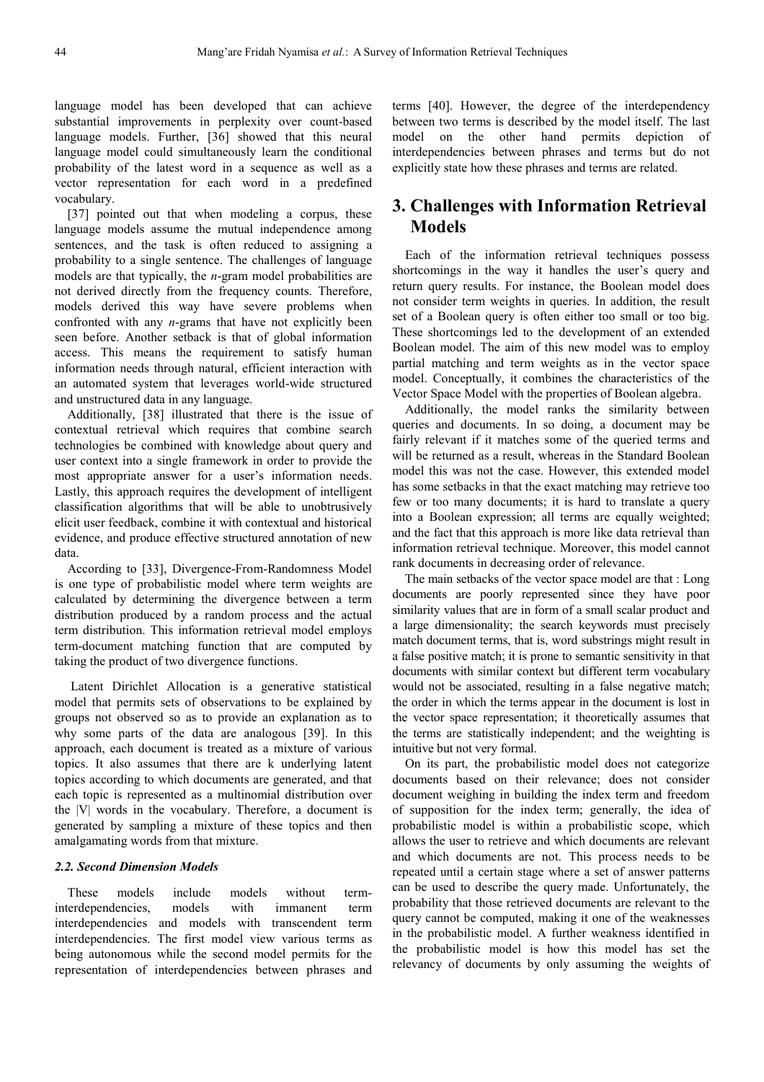language model has been developed that can achieve substantial improvements in perplexity over count-based language models. Further, [36] showed that this neural language model could simultaneously learn the conditional probability of the latest word in a sequence as well as a vector representation for each word in a predefined vocabulary.

[37] pointed out that when modeling a corpus, these language models assume the mutual independence among sentences, and the task is often reduced to assigning a probability to a single sentence. The challenges of language models are that typically, the *n*-gram model probabilities are not derived directly from the frequency counts. Therefore, models derived this way have severe problems when confronted with any *n*-grams that have not explicitly been seen before. Another setback is that of global information access. This means the requirement to satisfy human information needs through natural, efficient interaction with an automated system that leverages world-wide structured and unstructured data in any language.

Additionally, [38] illustrated that there is the issue of contextual retrieval which requires that combine search technologies be combined with knowledge about query and user context into a single framework in order to provide the most appropriate answer for a user's information needs. Lastly, this approach requires the development of intelligent classification algorithms that will be able to unobtrusively elicit user feedback, combine it with contextual and historical evidence, and produce effective structured annotation of new data.

According to [33], Divergence-From-Randomness Model is one type of probabilistic model where term weights are calculated by determining the divergence between a term distribution produced by a random process and the actual term distribution. This information retrieval model employs term-document matching function that are computed by taking the product of two divergence functions.

 Latent Dirichlet Allocation is a generative statistical model that permits sets of observations to be explained by groups not observed so as to provide an explanation as to why some parts of the data are analogous [39]. In this approach, each document is treated as a mixture of various topics. It also assumes that there are k underlying latent topics according to which documents are generated, and that each topic is represented as a multinomial distribution over the |V| words in the vocabulary. Therefore, a document is generated by sampling a mixture of these topics and then amalgamating words from that mixture.

#### *2.2. Second Dimension Models*

These models include models without terminterdependencies, models with immanent term interdependencies and models with transcendent term interdependencies. The first model view various terms as being autonomous while the second model permits for the representation of interdependencies between phrases and

terms [40]. However, the degree of the interdependency between two terms is described by the model itself. The last model on the other hand permits depiction of interdependencies between phrases and terms but do not explicitly state how these phrases and terms are related.

# **3. Challenges with Information Retrieval Models**

Each of the information retrieval techniques possess shortcomings in the way it handles the user's query and return query results. For instance, the Boolean model does not consider term weights in queries. In addition, the result set of a Boolean query is often either too small or too big. These shortcomings led to the development of an extended Boolean model. The aim of this new model was to employ partial matching and term weights as in the vector space model. Conceptually, it combines the characteristics of the Vector Space Model with the properties of Boolean algebra.

Additionally, the model ranks the similarity between queries and documents. In so doing, a document may be fairly relevant if it matches some of the queried terms and will be returned as a result, whereas in the Standard Boolean model this was not the case. However, this extended model has some setbacks in that the exact matching may retrieve too few or too many documents; it is hard to translate a query into a Boolean expression; all terms are equally weighted; and the fact that this approach is more like data retrieval than information retrieval technique. Moreover, this model cannot rank documents in decreasing order of relevance.

The main setbacks of the vector space model are that : Long documents are poorly represented since they have poor similarity values that are in form of a small scalar product and a large dimensionality; the search keywords must precisely match document terms, that is, word substrings might result in a false positive match; it is prone to semantic sensitivity in that documents with similar context but different term vocabulary would not be associated, resulting in a false negative match; the order in which the terms appear in the document is lost in the vector space representation; it theoretically assumes that the terms are statistically independent; and the weighting is intuitive but not very formal.

On its part, the probabilistic model does not categorize documents based on their relevance; does not consider document weighing in building the index term and freedom of supposition for the index term; generally, the idea of probabilistic model is within a probabilistic scope, which allows the user to retrieve and which documents are relevant and which documents are not. This process needs to be repeated until a certain stage where a set of answer patterns can be used to describe the query made. Unfortunately, the probability that those retrieved documents are relevant to the query cannot be computed, making it one of the weaknesses in the probabilistic model. A further weakness identified in the probabilistic model is how this model has set the relevancy of documents by only assuming the weights of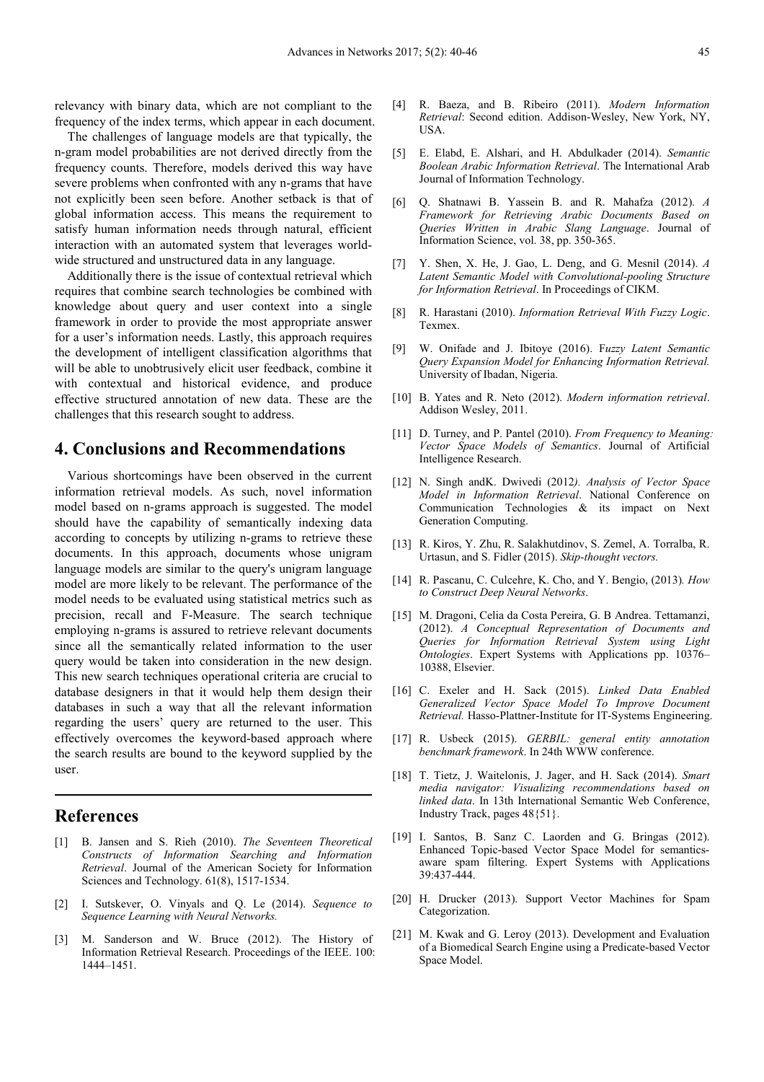relevancy with binary data, which are not compliant to the frequency of the index terms, which appear in each document.

The challenges of language models are that typically, the n-gram model probabilities are not derived directly from the frequency counts. Therefore, models derived this way have severe problems when confronted with any n-grams that have not explicitly been seen before. Another setback is that of global information access. This means the requirement to satisfy human information needs through natural, efficient interaction with an automated system that leverages worldwide structured and unstructured data in any language.

Additionally there is the issue of contextual retrieval which requires that combine search technologies be combined with knowledge about query and user context into a single framework in order to provide the most appropriate answer for a user's information needs. Lastly, this approach requires the development of intelligent classification algorithms that will be able to unobtrusively elicit user feedback, combine it with contextual and historical evidence, and produce effective structured annotation of new data. These are the challenges that this research sought to address.

## **4. Conclusions and Recommendations**

Various shortcomings have been observed in the current information retrieval models. As such, novel information model based on n-grams approach is suggested. The model should have the capability of semantically indexing data according to concepts by utilizing n-grams to retrieve these documents. In this approach, documents whose unigram language models are similar to the query's unigram language model are more likely to be relevant. The performance of the model needs to be evaluated using statistical metrics such as precision, recall and F-Measure. The search technique employing n-grams is assured to retrieve relevant documents since all the semantically related information to the user query would be taken into consideration in the new design. This new search techniques operational criteria are crucial to database designers in that it would help them design their databases in such a way that all the relevant information regarding the users' query are returned to the user. This effectively overcomes the keyword-based approach where the search results are bound to the keyword supplied by the user.

## **References**

- [1] B. Jansen and S. Rieh (2010). *The Seventeen Theoretical Constructs of Information Searching and Information Retrieval*. Journal of the American Society for Information Sciences and Technology. 61(8), 1517-1534.
- [2] I. Sutskever, O. Vinyals and Q. Le (2014). *Sequence to Sequence Learning with Neural Networks.*
- [3] M. Sanderson and W. Bruce (2012). The History of Information Retrieval Research. Proceedings of the IEEE. 100: 1444–1451.
- [4] R. Baeza, and B. Ribeiro (2011). *Modern Information Retrieval*: Second edition. Addison-Wesley, New York, NY, USA.
- [5] E. Elabd, E. Alshari, and H. Abdulkader (2014). *Semantic Boolean Arabic Information Retrieval*. The International Arab Journal of Information Technology.
- [6] Q. Shatnawi B. Yassein B. and R. Mahafza (2012). *A Framework for Retrieving Arabic Documents Based on Queries Written in Arabic Slang Language*. Journal of Information Science, vol. 38, pp. 350-365.
- [7] Y. Shen, X. He, J. Gao, L. Deng, and G. Mesnil (2014). *A Latent Semantic Model with Convolutional-pooling Structure for Information Retrieval*. In Proceedings of CIKM.
- [8] R. Harastani (2010). *Information Retrieval With Fuzzy Logic*. Texmex.
- [9] W. Onifade and J. Ibitoye (2016). F*uzzy Latent Semantic Query Expansion Model for Enhancing Information Retrieval.*  University of Ibadan, Nigeria.
- [10] B. Yates and R. Neto (2012). *Modern information retrieval*. Addison Wesley, 2011.
- [11] D. Turney, and P. Pantel (2010). *From Frequency to Meaning: Vector Space Models of Semantics*. Journal of Artificial Intelligence Research.
- [12] N. Singh andK. Dwivedi (2012*). Analysis of Vector Space Model in Information Retrieval*. National Conference on Communication Technologies & its impact on Next Generation Computing.
- [13] R. Kiros, Y. Zhu, R. Salakhutdinov, S. Zemel, A. Torralba, R. Urtasun, and S. Fidler (2015). *Skip-thought vectors.*
- [14] R. Pascanu, C. Culcehre, K. Cho, and Y. Bengio, (2013)*. How to Construct Deep Neural Networks*.
- [15] M. Dragoni, Celia da Costa Pereira, G. B Andrea. Tettamanzi, (2012). *A Conceptual Representation of Documents and Queries for Information Retrieval System using Light Ontologies*. Expert Systems with Applications pp. 10376– 10388, Elsevier.
- [16] C. Exeler and H. Sack (2015). *Linked Data Enabled Generalized Vector Space Model To Improve Document Retrieval.* Hasso-Plattner-Institute for IT-Systems Engineering.
- [17] R. Usbeck (2015). *GERBIL: general entity annotation benchmark framework*. In 24th WWW conference.
- [18] T. Tietz, J. Waitelonis, J. Jager, and H. Sack (2014). *Smart media navigator: Visualizing recommendations based on linked data*. In 13th International Semantic Web Conference, Industry Track, pages 48{51}.
- [19] I. Santos, B. Sanz C. Laorden and G. Bringas (2012). Enhanced Topic-based Vector Space Model for semanticsaware spam filtering. Expert Systems with Applications 39:437-444.
- [20] H. Drucker (2013). Support Vector Machines for Spam Categorization.
- [21] M. Kwak and G. Leroy (2013). Development and Evaluation of a Biomedical Search Engine using a Predicate-based Vector Space Model.